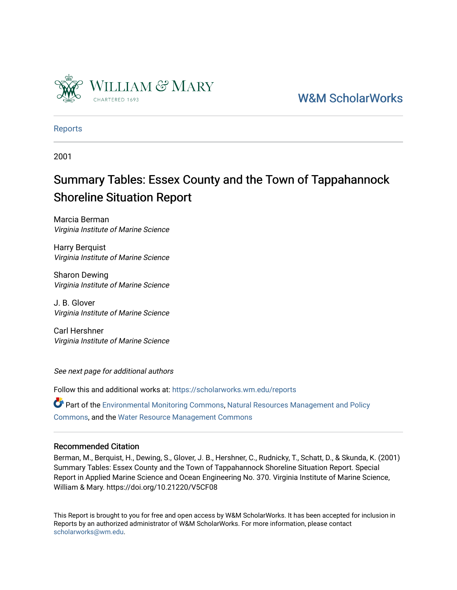

# [W&M ScholarWorks](https://scholarworks.wm.edu/)

[Reports](https://scholarworks.wm.edu/reports)

2001

# Summary Tables: Essex County and the Town of Tappahannock Shoreline Situation Report

Marcia Berman Virginia Institute of Marine Science

Harry Berquist Virginia Institute of Marine Science

Sharon Dewing Virginia Institute of Marine Science

J. B. Glover Virginia Institute of Marine Science

Carl Hershner Virginia Institute of Marine Science

See next page for additional authors

Follow this and additional works at: [https://scholarworks.wm.edu/reports](https://scholarworks.wm.edu/reports?utm_source=scholarworks.wm.edu%2Freports%2F740&utm_medium=PDF&utm_campaign=PDFCoverPages)

Part of the [Environmental Monitoring Commons](http://network.bepress.com/hgg/discipline/931?utm_source=scholarworks.wm.edu%2Freports%2F740&utm_medium=PDF&utm_campaign=PDFCoverPages), [Natural Resources Management and Policy](http://network.bepress.com/hgg/discipline/170?utm_source=scholarworks.wm.edu%2Freports%2F740&utm_medium=PDF&utm_campaign=PDFCoverPages)  [Commons](http://network.bepress.com/hgg/discipline/170?utm_source=scholarworks.wm.edu%2Freports%2F740&utm_medium=PDF&utm_campaign=PDFCoverPages), and the [Water Resource Management Commons](http://network.bepress.com/hgg/discipline/1057?utm_source=scholarworks.wm.edu%2Freports%2F740&utm_medium=PDF&utm_campaign=PDFCoverPages)

#### Recommended Citation

Berman, M., Berquist, H., Dewing, S., Glover, J. B., Hershner, C., Rudnicky, T., Schatt, D., & Skunda, K. (2001) Summary Tables: Essex County and the Town of Tappahannock Shoreline Situation Report. Special Report in Applied Marine Science and Ocean Engineering No. 370. Virginia Institute of Marine Science, William & Mary. https://doi.org/10.21220/V5CF08

This Report is brought to you for free and open access by W&M ScholarWorks. It has been accepted for inclusion in Reports by an authorized administrator of W&M ScholarWorks. For more information, please contact [scholarworks@wm.edu.](mailto:scholarworks@wm.edu)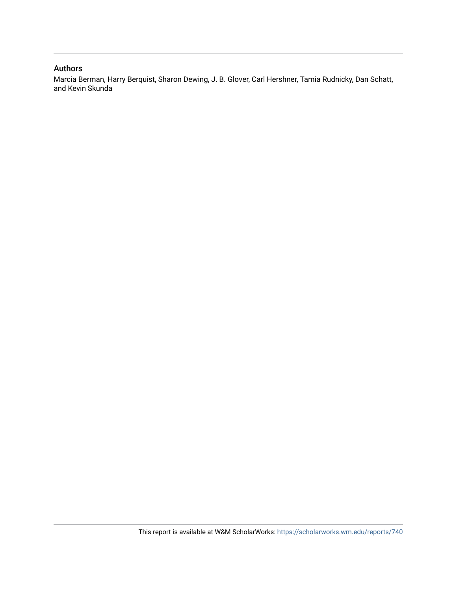#### Authors

Marcia Berman, Harry Berquist, Sharon Dewing, J. B. Glover, Carl Hershner, Tamia Rudnicky, Dan Schatt, and Kevin Skunda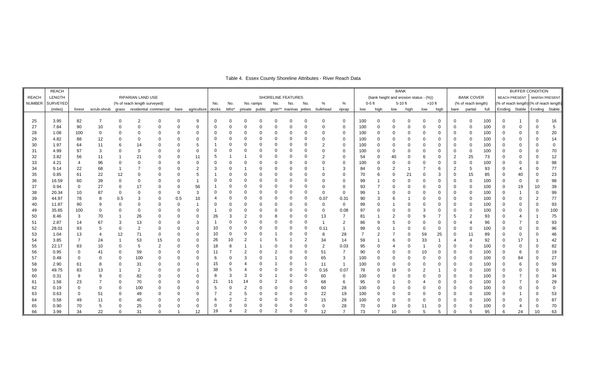|               | <b>REACH</b>    |                 |                                          |          |                              |                  |     |                        |          |                |                |                    |             |                                        |          |                |                                        |          |      |                | <b>BANK</b>    |                |                   |                |                     |                      | <b>BUFFER CONDITION</b> |                                         |                |                 |  |  |
|---------------|-----------------|-----------------|------------------------------------------|----------|------------------------------|------------------|-----|------------------------|----------|----------------|----------------|--------------------|-------------|----------------------------------------|----------|----------------|----------------------------------------|----------|------|----------------|----------------|----------------|-------------------|----------------|---------------------|----------------------|-------------------------|-----------------------------------------|----------------|-----------------|--|--|
| <b>REACH</b>  | LENGTH          |                 |                                          |          | <b>RIPARIAN LAND USE</b>     |                  |     |                        |          |                |                | SHORELINE FEATURES |             |                                        |          |                | (bank height and erosion status - (%)) |          |      |                |                |                | <b>BANK COVER</b> |                |                     | <b>BEACH PRESENT</b> |                         | MARSH PRESENT                           |                |                 |  |  |
| <b>NUMBER</b> | <b>SURVEYED</b> |                 |                                          |          | (% of reach length surveyed) |                  |     |                        | No.      | No.            | No. ramps      |                    | No.         | No.                                    | No.      | %              | $\%$                                   | $0-5$ ft |      |                | $5-10$ ft      |                | $>10$ ft          |                | (% of reach length) |                      |                         | (% of reach length) (% of reach length) |                |                 |  |  |
|               | (miles)         | forest          | scrub-shrub grass residential commercial |          |                              |                  |     | bare agriculture docks |          | bths*          |                |                    |             | private public groin** marinas jetties |          | bulkhead       | riprap                                 | low      | high | low            | high           | low            | high              |                | bare partial        | full                 | Eroding                 | Stable                                  |                | Eroding Stable  |  |  |
|               |                 |                 |                                          |          |                              |                  |     |                        |          |                |                |                    |             |                                        |          |                |                                        |          |      |                |                |                |                   |                |                     |                      |                         |                                         |                |                 |  |  |
| 25            | 3.95            | 82              |                                          |          | 2                            | $\Omega$         |     | 9                      |          |                |                |                    |             |                                        |          |                | $\Omega$                               | 100      |      |                | $\Omega$       | $\Omega$       | $\Omega$          | 0              | $\Omega$            | 100                  | $\Omega$                |                                         | $\Omega$       | 16              |  |  |
| 27            | 7.84            | 90              | 10 <sub>1</sub>                          |          |                              | $\Omega$         |     | 0                      | 0        |                |                |                    |             |                                        |          |                | $\mathbf 0$                            | 100      |      |                | $\mathbf 0$    | $\Omega$       | 0                 | 0              | $\Omega$            | 100                  | $\Omega$                | 0                                       |                | $5\phantom{.0}$ |  |  |
| 28            | 1.08            | 100             | $\pmb{0}$                                |          | 0                            | $\boldsymbol{0}$ |     | 0                      | -0       |                |                | $\Omega$           | $\Omega$    |                                        |          | $\Omega$       | 0                                      | 100      |      | 0              | $\pmb{0}$      | $\mathbf 0$    | 0                 | $\mathbf 0$    | $\Omega$            | 100                  | $\Omega$                | 0                                       | $\Omega$       | $20\,$          |  |  |
| 29            | 4.82            | 88              | 12                                       |          |                              | $\mathbf 0$      |     | 0                      | $\Omega$ |                |                |                    |             |                                        |          |                | $\mathbf 0$                            | 100      |      |                | $\mathbf 0$    | $\mathbf 0$    | 0                 | 0              |                     | 100                  | $\Omega$                | 0                                       | $\Omega$       | 14              |  |  |
| 30            | 1.97            | 64              | 11                                       |          | 14                           |                  |     | 5                      |          |                |                |                    |             |                                        |          | $\overline{c}$ | $\mathbf 0$                            | 100      |      |                | $\mathbf 0$    | $\mathbf 0$    | 0                 | 0              |                     | 100                  | 0                       | 0                                       | $\Omega$       | $\mathbf 0$     |  |  |
| 31            | 4.99            | 97              | 3                                        |          |                              |                  |     | 0                      |          |                |                |                    |             |                                        |          | $\Omega$       | 0                                      | 100      |      |                | $\mathbf 0$    | $\mathbf 0$    | 0                 | 0              | 0                   | 100                  | 0                       | 0                                       | 0              | 70              |  |  |
| 32            | 3.82            | 56              | 11                                       |          | 21                           |                  |     | 11                     | -5       |                |                |                    |             |                                        |          |                | $\mathbf 0$                            | 54       |      | 40             | $\pmb{0}$      | 6              | $\mathbf 0$       | $\overline{c}$ | 25                  | 73                   | $\Omega$                | 0                                       | $\mathbf 0$    | 12 <sub>1</sub> |  |  |
| 33            | 4.21            | $\overline{4}$  | 96                                       |          |                              |                  |     | 0                      | 0        |                |                |                    |             |                                        |          |                | $\mathbf 0$                            | 100      |      | 0              | $\pmb{0}$      | $\overline{0}$ | 0                 | 0              | $\mathbf 0$         | 100                  | 0                       | 0                                       | 0              | 98              |  |  |
| 34            | 9.14            | 22              | 68                                       |          |                              | $\mathbf 0$      |     | $\overline{2}$         | -3       |                |                | $\Omega$           | $\Omega$    |                                        |          |                | 3                                      | 84       |      | $\overline{2}$ |                |                | 6                 | 2              | 5                   | 93                   | 0                       | 4                                       | 0              | $77\,$          |  |  |
| 35            | 0.85            | 61              | 22                                       | 12       |                              | 0                |     | 5                      |          |                |                | $\Omega$           |             |                                        |          |                | 0                                      | 70       |      |                | 21             | 0              | 3                 | 0              | 15                  | 85                   | 0                       | 40                                      | 0              | 23              |  |  |
| 36            | 16.59           | 60              | 39                                       |          | $\mathbf 0$                  | $\Omega$         |     |                        | $\Omega$ |                |                | $\Omega$           |             |                                        |          |                | $\mathbf 0$                            | 99       |      |                | $\overline{0}$ | $\mathbf 0$    | 0                 | 0              | $\Omega$            | 100                  | $\Omega$                | 0                                       | $\mathbf 0$    | 98              |  |  |
| 37            | 0.94            | $\Omega$        | 27                                       | $\Omega$ | 17                           | $\overline{0}$   |     | 56                     |          |                |                | $\Omega$           |             |                                        |          |                | $\mathbf 0$                            | 93       |      |                | $\overline{0}$ | $\overline{0}$ | 0                 | $\Omega$       | $\Omega$            | 100                  | $\mathbf 0$             | 19                                      | 10             | 39              |  |  |
| 38            | 20.34           | 10 <sup>1</sup> | 87                                       |          |                              | 0                | 0   | 3                      | 0        |                |                | 0                  |             |                                        |          | $\mathbf 0$    | $\mathbf 0$                            | 99       |      |                | $\mathbf 0$    | $\mathbf 0$    | 0                 | 0              |                     | 100                  | 0                       |                                         | $\mathbf 0$    | 99              |  |  |
| 39            | 44.97           | 78              | 8                                        | 0.5      | 3                            | $\mathbf 0$      | 0.5 | 10                     |          |                |                | $\Omega$           |             |                                        | $\Omega$ | 0.07           | 0.31                                   | 90       |      |                |                | 0              | 0                 | 0              | $\Omega$            | 100                  | 0                       | 0                                       | $\overline{2}$ | $77\,$          |  |  |
| 40            | 11.87           | 90              | 9                                        |          | 0                            | 0                |     |                        | 0        |                |                |                    |             |                                        |          | $\Omega$       | $\mathbf 0$                            | 99       |      |                | $\mathbf 0$    | $\mathbf 0$    | 0                 | 0              |                     | 100                  | 0                       | 0                                       | $\Omega$       | 93              |  |  |
| 49            | 35.65           | 100             | 0                                        |          | $\mathbf 0$                  | 0                |     | 0                      |          |                |                |                    |             |                                        |          | $\mathbf 0$    | 0.08                                   | 97       |      |                | $\mathbf 0$    | 3              | 0                 | 0              |                     | 100                  | 0                       | 0                                       | $\Omega$       | 100             |  |  |
| 50            | 8.46            | $\mathbf{3}$    | 70                                       |          | 26                           | $\mathbf 0$      |     | 0                      | 26       |                |                | 0                  | 8           |                                        | $\Omega$ | 13             | $\overline{7}$                         | 81       |      | 2              | 0              | -9             |                   | 5              | $\overline{2}$      | 93                   | 0                       | 4                                       | -1             | 75              |  |  |
| 51            | 2.87            | 14              | 67                                       | 3        | 13                           | $\overline{0}$   |     | 3                      |          |                |                | $\Omega$           |             |                                        |          |                | $\overline{2}$                         | 86       |      |                | $\mathbf 0$    | $\mathbf 0$    | 0                 |                |                     | 96                   | 0                       |                                         | $\Omega$       | 93              |  |  |
| 52            | 28.01           | 93              | 5                                        |          | $\overline{2}$               | $\overline{0}$   |     | 0                      | 10       |                |                | $\Omega$           |             |                                        | $\Omega$ | 0.11           |                                        | 99       |      |                | $\mathbf 0$    | $\mathbf 0$    | 0                 |                | $\Omega$            | 100                  | 0                       | 0                                       | $\Omega$       | 96              |  |  |
| 53            | 1.04            | 13              | $\overline{4}$                           | 12       | 71                           | 0                |     | 0                      | 10       |                |                | $\Omega$           |             |                                        |          | 8              | 28                                     |          |      |                | $\mathbf 0$    | 59             | 25                |                | 11                  | 89                   | 0                       | 0                                       | $\Omega$       | 46              |  |  |
| 54            | 3.85            | $\overline{7}$  | 24                                       |          | 53                           | 15               |     | $\Omega$               | 26       | 10             |                |                    |             |                                        |          | 34             | 14                                     | 59       |      | 6              | $\Omega$       | 33             |                   |                |                     | 92                   | 0                       | 17                                      |                | 42              |  |  |
| 55            | 22.17           | 83              | 10 <sup>1</sup>                          |          | 5                            | 2                |     | 0                      | 18       |                |                |                    |             |                                        |          | $\overline{2}$ | 0.03                                   | 95       |      |                | $\mathbf 0$    |                | $\mathbf 0$       | $\Omega$       |                     | 100                  | $\Omega$                | 0                                       | $\Omega$       | 82              |  |  |
| 56            | 0.95            | $\Omega$        | 41                                       |          | 59                           | $\mathbf 0$      |     | 0                      | 11       |                |                | 0                  |             |                                        |          | 51             | $\overline{7}$                         | 90       |      |                | $\mathbf 0$    | 10             | 0                 | 0              |                     | 100                  | $\Omega$                | 6                                       | $\Omega$       | 19              |  |  |
| 57            | 0.48            | $\mathbf 0$     | $\overline{0}$                           |          | 100                          | 0                |     | 0                      | 6        |                |                |                    |             |                                        |          | 65             | 3                                      | 100      |      | 0              | 0              | 0              | 0                 | 0              |                     | 100                  | 0                       | 84                                      | 0              | 27              |  |  |
| 58            | 2.90            | 61              | 8                                        |          | 31                           | $\Omega$         |     | $\Omega$               | 15       |                |                |                    |             |                                        |          | 11             | $\overline{1}$                         | 100      |      | 0              | $\mathbf 0$    | $\mathbf 0$    | $\Omega$          |                |                     | 100                  | $\Omega$                | 6                                       | $\Omega$       | 59              |  |  |
| 59            | 49.75           | 83              | 13                                       |          | $\overline{2}$               | $\Omega$         |     |                        | 38       |                |                | $\Omega$           |             |                                        | $\Omega$ | 0.16           | 0.07                                   | 78       |      | 19             | $\mathbf 0$    | $\overline{2}$ |                   | 0              |                     | 100                  | 0                       | 0                                       | $\Omega$       | 91              |  |  |
| 60            | 0.31            | 9               | 9                                        |          | 82                           | 0                |     | 0                      | 8        | 3              | 3              |                    |             |                                        |          | 60             | $\mathbf 0$                            | 100      |      | $\mathbf 0$    | $\mathbf 0$    | $\mathbf 0$    | 0                 |                |                     | 100                  |                         |                                         | 0              | 34              |  |  |
| 61            | 1.58            | 23              |                                          |          | $70\,$                       | $\mathbf 0$      |     | $\mathbf 0$            | 21       |                | 14             |                    |             |                                        |          | 68             | 6                                      | 95       |      |                | $\mathbf 0$    |                | 0                 | 0              |                     | 100                  | 0                       |                                         | 0              | 29              |  |  |
| 62            | 0.19            | $\mathbf 0$     | $\mathbf 0$                              |          | 100                          | 0                |     | 0                      | -5       |                |                | $\Omega$           |             |                                        |          | 60             | 28                                     | 100      |      |                | $\pmb{0}$      | $\mathbf 0$    | 0                 | 0              |                     | 100                  | 0                       | 0                                       | $\Omega$       | $\mathbf 0$     |  |  |
| 63            | 0.63            | $\mathbf 0$     | 51                                       |          | 49                           | $\mathbf 0$      |     | 0                      |          | $\overline{c}$ |                | 0                  | $\mathbf 0$ |                                        | $\Omega$ | 22             | 19                                     | 100      |      |                | $\mathbf 0$    | $\mathbf 0$    | 0                 | 0              |                     | 100                  | 0                       |                                         | 0              | 53              |  |  |
| 64            | 0.58            | 49              | 11                                       |          | 40                           | 0                |     | 0                      | 6        | 2              | 2              | 0                  | $\mathbf 0$ | 0                                      | $\Omega$ | 15             | 28                                     | 100      |      | 0              | $\mathbf 0$    | $\mathbf 0$    | 0                 | 0              |                     | 100                  |                         | 0                                       | $\Omega$       | 87              |  |  |
| 65            | 0.90            | 70              | 5                                        |          | 25                           | $\Omega$         |     | 0                      | $\Omega$ |                |                | $\Omega$           | $\Omega$    |                                        |          | $\mathbf 0$    | 28                                     | 70       |      | 19             | $\Omega$       | 11             | 0                 |                |                     | 100                  |                         |                                         | $\Omega$       | 70              |  |  |
| 66            | 3.99            | 34              | 22                                       |          | 31                           | $\Omega$         |     | 12                     | 19       |                | $\overline{2}$ | $\Omega$           | 2           |                                        |          | 12             | $\overline{7}$                         | 73       |      | 10             | $\Omega$       |                |                   |                |                     | 95                   | 6                       | 24                                      | 10             | 63              |  |  |

# Table 4. Essex County Shoreline Attributes - River Reach Data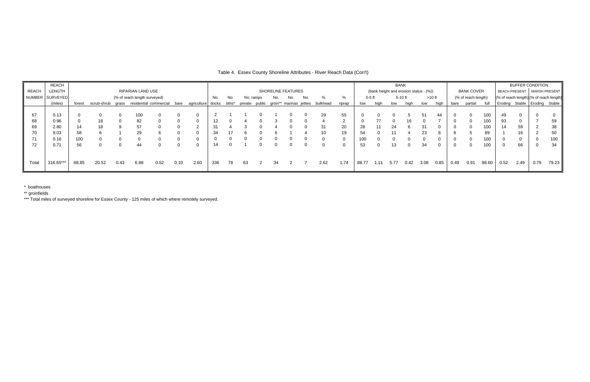|              | REACH           |                              |                                          |      |                   |      |                    |                   |     |       |           |  |     |            |  | <b>BANK</b>                                     |                                        |        |      |      |           |          |                   |      | <b>BUFFER CONDITION</b> |                               |      |      |                                         |       |
|--------------|-----------------|------------------------------|------------------------------------------|------|-------------------|------|--------------------|-------------------|-----|-------|-----------|--|-----|------------|--|-------------------------------------------------|----------------------------------------|--------|------|------|-----------|----------|-------------------|------|-------------------------|-------------------------------|------|------|-----------------------------------------|-------|
| <b>REACH</b> | LENGTH          |                              |                                          |      | RIPARIAN LAND USE |      | SHORELINE FEATURES |                   |     |       |           |  |     |            |  |                                                 | (bank height and erosion status - (%)) |        |      |      |           |          | <b>BANK COVER</b> |      |                         | BEACH PRESENT   MARSH PRESENT |      |      |                                         |       |
|              | NUMBER SURVEYED | (% of reach length surveyed) |                                          |      |                   |      |                    |                   |     | No.   | No. ramps |  | No. | No.<br>No. |  |                                                 |                                        | 0-5 ft |      |      | $5-10$ ft | $>10$ ft |                   |      | (% of reach length)     |                               |      |      | (% of reach length) (% of reach length) |       |
|              | (miles)         | forest                       | scrub-shrub grass residential commercial |      |                   |      | bare               | agriculture docks |     | bths* |           |  |     |            |  | private public groin** marinas jetties bulkhead | riprap                                 | low    | hiah | low  | high      | low      | high              | bare | partial                 | full                          |      |      | Eroding Stable Eroding Stable           |       |
|              |                 |                              |                                          |      |                   |      |                    |                   |     |       |           |  |     |            |  |                                                 |                                        |        |      |      |           |          |                   |      |                         |                               |      |      |                                         |       |
| 67           | 0.13            |                              |                                          |      | 100               |      |                    |                   |     |       |           |  |     |            |  | 29                                              | 55                                     |        |      |      |           |          | 44                |      |                         | 100                           | 49   |      |                                         |       |
| 68           | 0.96            |                              | 18                                       |      | 82                |      |                    | $\Omega$          |     |       |           |  |     |            |  |                                                 |                                        |        |      |      |           |          |                   |      |                         | 100                           | 93   |      |                                         | 59    |
| 69           | 2.80            | 14                           |                                          |      | 57                |      |                    |                   |     |       |           |  |     |            |  |                                                 | 20                                     | 28     |      |      |           |          |                   |      |                         | 100                           |      | 59   |                                         | 38    |
| 70           | 9.03            | 58                           |                                          |      | 29                |      |                    | -0                |     |       |           |  |     |            |  | 10                                              | 19                                     | 54     |      |      |           | 23       |                   |      |                         | 89                            |      | 16   |                                         | 50    |
|              | 0.16            | 100                          |                                          |      |                   |      |                    |                   |     |       |           |  |     |            |  |                                                 |                                        | 100    |      |      |           |          |                   |      |                         | 100                           |      |      |                                         | 100   |
| 72           | 0.71            | 56                           |                                          |      | 44                |      |                    |                   |     |       |           |  |     |            |  |                                                 |                                        | 53     |      | 13   |           | 34       |                   |      |                         | 100                           |      | 66   | 0                                       | 34    |
|              |                 |                              |                                          |      |                   |      |                    |                   |     |       |           |  |     |            |  |                                                 |                                        |        |      |      |           |          |                   |      |                         |                               |      |      |                                         |       |
|              |                 |                              |                                          |      |                   |      |                    |                   |     |       |           |  |     |            |  |                                                 |                                        |        |      |      |           |          |                   |      |                         |                               |      |      |                                         |       |
| Total        | 316.65***       | 68.85                        | 20.52                                    | 0.43 | 6.98              | 0.52 | 0.10               | 2.60              | 336 | 78    | 63        |  | 34  |            |  | 2.62                                            | 1.74                                   | 88.77  | 1.11 | 5.77 | 0.42      | 3.08     | 0.85              | 0.49 | 0.91                    | 98.60                         | 0.52 | 2.49 | 0.79                                    | 79.23 |

\* boathouses

\*\* groinfields

# Table 4. Essex County Shoreline Attributes - River Reach Data (Con't)

\*\*\* Total miles of surveyed shoreline for Essex County - 125 miles of which where remotely surveyed.